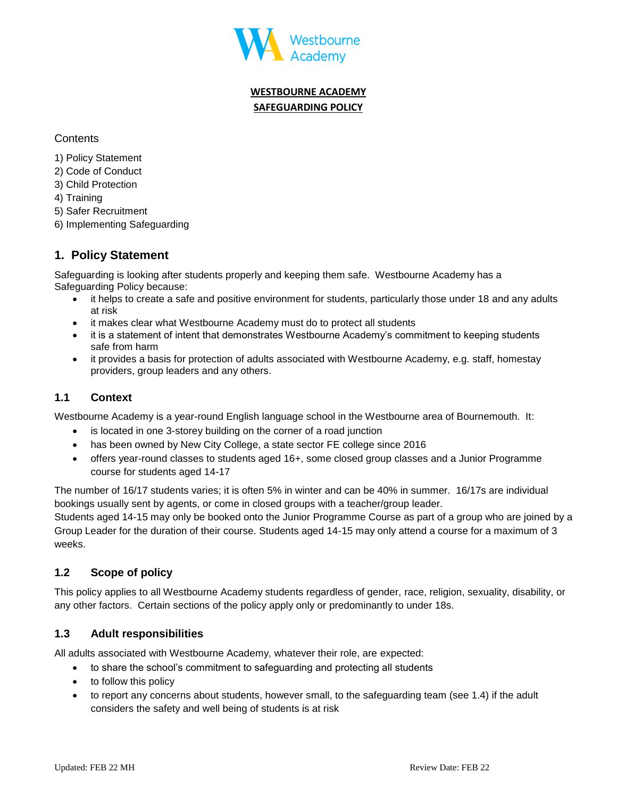

# **WESTBOURNE ACADEMY SAFEGUARDING POLICY**

**Contents** 

- 1) Policy Statement
- 2) Code of Conduct
- 3) Child Protection
- 4) Training
- 5) Safer Recruitment
- 6) Implementing Safeguarding

# **1. Policy Statement**

Safeguarding is looking after students properly and keeping them safe. Westbourne Academy has a Safeguarding Policy because:

- it helps to create a safe and positive environment for students, particularly those under 18 and any adults at risk
- it makes clear what Westbourne Academy must do to protect all students
- it is a statement of intent that demonstrates Westbourne Academy's commitment to keeping students safe from harm
- it provides a basis for protection of adults associated with Westbourne Academy, e.g. staff, homestay providers, group leaders and any others.

# **1.1 Context**

Westbourne Academy is a year-round English language school in the Westbourne area of Bournemouth. It:

- is located in one 3-storey building on the corner of a road junction
- has been owned by New City College, a state sector FE college since 2016
- offers year-round classes to students aged 16+, some closed group classes and a Junior Programme course for students aged 14-17

The number of 16/17 students varies; it is often 5% in winter and can be 40% in summer. 16/17s are individual bookings usually sent by agents, or come in closed groups with a teacher/group leader.

Students aged 14-15 may only be booked onto the Junior Programme Course as part of a group who are joined by a Group Leader for the duration of their course. Students aged 14-15 may only attend a course for a maximum of 3 weeks.

## **1.2 Scope of policy**

This policy applies to all Westbourne Academy students regardless of gender, race, religion, sexuality, disability, or any other factors. Certain sections of the policy apply only or predominantly to under 18s.

## **1.3 Adult responsibilities**

All adults associated with Westbourne Academy, whatever their role, are expected:

- to share the school's commitment to safeguarding and protecting all students
- to follow this policy
- to report any concerns about students, however small, to the safeguarding team (see 1.4) if the adult considers the safety and well being of students is at risk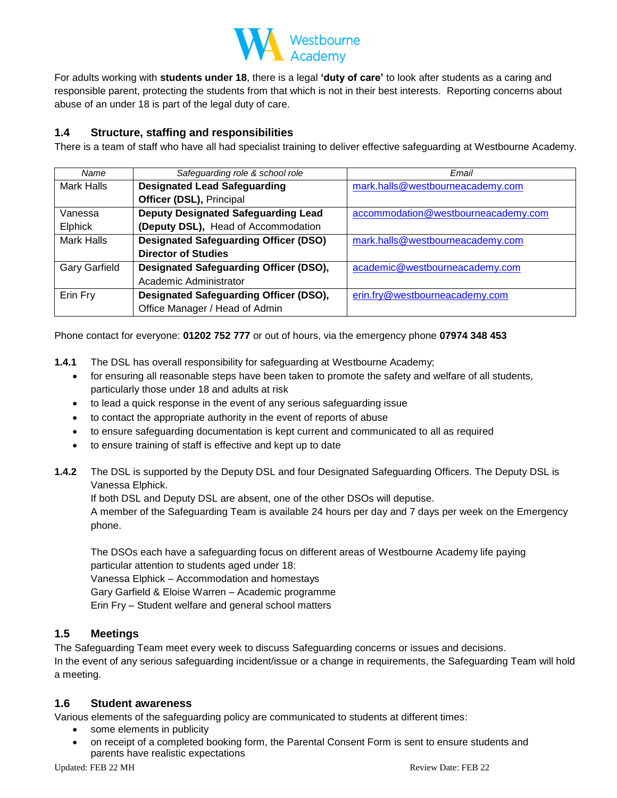

For adults working with **students under 18**, there is a legal **'duty of care'** to look after students as a caring and responsible parent, protecting the students from that which is not in their best interests. Reporting concerns about abuse of an under 18 is part of the legal duty of care.

## **1.4 Structure, staffing and responsibilities**

There is a team of staff who have all had specialist training to deliver effective safeguarding at Westbourne Academy.

| Name                 | Safeguarding role & school role               | Email                               |  |
|----------------------|-----------------------------------------------|-------------------------------------|--|
| Mark Halls           | <b>Designated Lead Safeguarding</b>           | mark.halls@westbourneacademy.com    |  |
|                      | Officer (DSL), Principal                      |                                     |  |
| Vanessa              | <b>Deputy Designated Safeguarding Lead</b>    | accommodation@westbourneacademy.com |  |
| Elphick              | (Deputy DSL), Head of Accommodation           |                                     |  |
| <b>Mark Halls</b>    | <b>Designated Safeguarding Officer (DSO)</b>  | mark.halls@westbourneacademy.com    |  |
|                      | <b>Director of Studies</b>                    |                                     |  |
| <b>Gary Garfield</b> | Designated Safeguarding Officer (DSO),        | academic@westbourneacademy.com      |  |
|                      | Academic Administrator                        |                                     |  |
| Erin Fry             | <b>Designated Safeguarding Officer (DSO),</b> | erin.fry@westbourneacademy.com      |  |
|                      | Office Manager / Head of Admin                |                                     |  |

Phone contact for everyone: **01202 752 777** or out of hours, via the emergency phone **07974 348 453**

- **1.4.1** The DSL has overall responsibility for safeguarding at Westbourne Academy;
	- for ensuring all reasonable steps have been taken to promote the safety and welfare of all students, particularly those under 18 and adults at risk
	- to lead a quick response in the event of any serious safeguarding issue
	- to contact the appropriate authority in the event of reports of abuse
	- to ensure safeguarding documentation is kept current and communicated to all as required
	- to ensure training of staff is effective and kept up to date
- **1.4.2** The DSL is supported by the Deputy DSL and four Designated Safeguarding Officers. The Deputy DSL is Vanessa Elphick.

If both DSL and Deputy DSL are absent, one of the other DSOs will deputise.

A member of the Safeguarding Team is available 24 hours per day and 7 days per week on the Emergency phone.

The DSOs each have a safeguarding focus on different areas of Westbourne Academy life paying particular attention to students aged under 18: Vanessa Elphick – Accommodation and homestays Gary Garfield & Eloise Warren – Academic programme Erin Fry – Student welfare and general school matters

## **1.5 Meetings**

The Safeguarding Team meet every week to discuss Safeguarding concerns or issues and decisions. In the event of any serious safeguarding incident/issue or a change in requirements, the Safeguarding Team will hold a meeting.

## **1.6 Student awareness**

Various elements of the safeguarding policy are communicated to students at different times:

- some elements in publicity
- on receipt of a completed booking form, the Parental Consent Form is sent to ensure students and parents have realistic expectations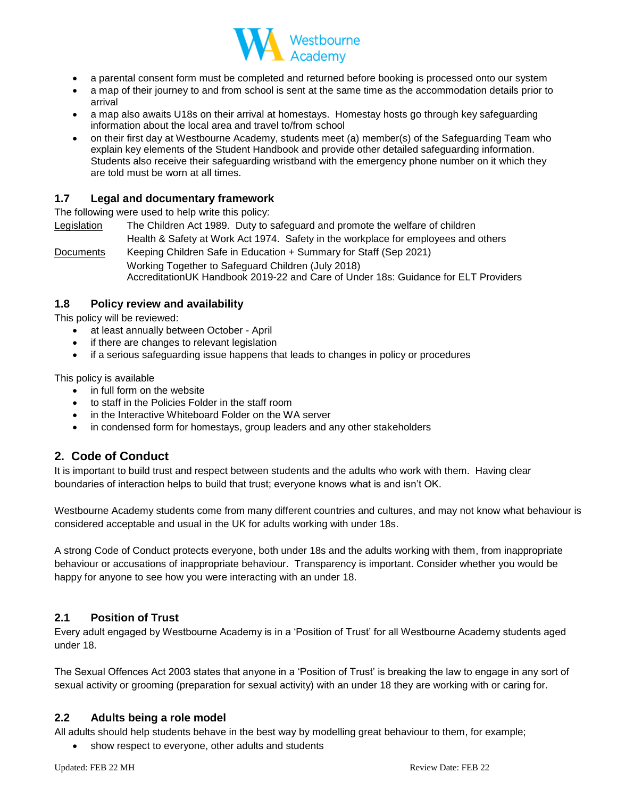

- a parental consent form must be completed and returned before booking is processed onto our system
- a map of their journey to and from school is sent at the same time as the accommodation details prior to arrival
- a map also awaits U18s on their arrival at homestays. Homestay hosts go through key safeguarding information about the local area and travel to/from school
- on their first day at Westbourne Academy, students meet (a) member(s) of the Safeguarding Team who explain key elements of the Student Handbook and provide other detailed safeguarding information. Students also receive their safeguarding wristband with the emergency phone number on it which they are told must be worn at all times.

## **1.7 Legal and documentary framework**

The following were used to help write this policy:

Legislation The Children Act 1989. Duty to safeguard and promote the welfare of children Health & Safety at Work Act 1974. Safety in the workplace for employees and others

Documents Keeping Children Safe in Education + Summary for Staff (Sep 2021) Working Together to Safeguard Children (July 2018) AccreditationUK Handbook 2019-22 and Care of Under 18s: Guidance for ELT Providers

## **1.8 Policy review and availability**

This policy will be reviewed:

- at least annually between October April
- if there are changes to relevant legislation
- if a serious safeguarding issue happens that leads to changes in policy or procedures

This policy is available

- in full form on the website
- to staff in the Policies Folder in the staff room
- in the Interactive Whiteboard Folder on the WA server
- in condensed form for homestays, group leaders and any other stakeholders

# **2. Code of Conduct**

It is important to build trust and respect between students and the adults who work with them. Having clear boundaries of interaction helps to build that trust; everyone knows what is and isn't OK.

Westbourne Academy students come from many different countries and cultures, and may not know what behaviour is considered acceptable and usual in the UK for adults working with under 18s.

A strong Code of Conduct protects everyone, both under 18s and the adults working with them, from inappropriate behaviour or accusations of inappropriate behaviour. Transparency is important. Consider whether you would be happy for anyone to see how you were interacting with an under 18.

## **2.1 Position of Trust**

Every adult engaged by Westbourne Academy is in a 'Position of Trust' for all Westbourne Academy students aged under 18.

The Sexual Offences Act 2003 states that anyone in a 'Position of Trust' is breaking the law to engage in any sort of sexual activity or grooming (preparation for sexual activity) with an under 18 they are working with or caring for.

## **2.2 Adults being a role model**

All adults should help students behave in the best way by modelling great behaviour to them, for example;

show respect to everyone, other adults and students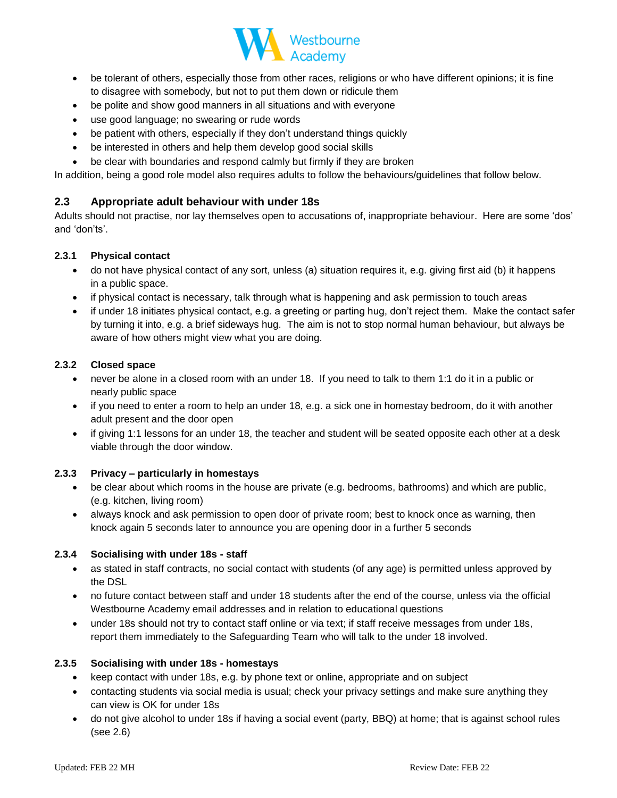

- be tolerant of others, especially those from other races, religions or who have different opinions; it is fine to disagree with somebody, but not to put them down or ridicule them
- be polite and show good manners in all situations and with everyone
- use good language; no swearing or rude words
- be patient with others, especially if they don't understand things quickly
- be interested in others and help them develop good social skills
- be clear with boundaries and respond calmly but firmly if they are broken

In addition, being a good role model also requires adults to follow the behaviours/guidelines that follow below.

## **2.3 Appropriate adult behaviour with under 18s**

Adults should not practise, nor lay themselves open to accusations of, inappropriate behaviour. Here are some 'dos' and 'don'ts'.

#### **2.3.1 Physical contact**

- do not have physical contact of any sort, unless (a) situation requires it, e.g. giving first aid (b) it happens in a public space.
- if physical contact is necessary, talk through what is happening and ask permission to touch areas
- if under 18 initiates physical contact, e.g. a greeting or parting hug, don't reject them. Make the contact safer by turning it into, e.g. a brief sideways hug. The aim is not to stop normal human behaviour, but always be aware of how others might view what you are doing.

#### **2.3.2 Closed space**

- never be alone in a closed room with an under 18. If you need to talk to them 1:1 do it in a public or nearly public space
- if you need to enter a room to help an under 18, e.g. a sick one in homestay bedroom, do it with another adult present and the door open
- if giving 1:1 lessons for an under 18, the teacher and student will be seated opposite each other at a desk viable through the door window.

## **2.3.3 Privacy – particularly in homestays**

- be clear about which rooms in the house are private (e.g. bedrooms, bathrooms) and which are public, (e.g. kitchen, living room)
- always knock and ask permission to open door of private room; best to knock once as warning, then knock again 5 seconds later to announce you are opening door in a further 5 seconds

#### **2.3.4 Socialising with under 18s - staff**

- as stated in staff contracts, no social contact with students (of any age) is permitted unless approved by the DSL
- no future contact between staff and under 18 students after the end of the course, unless via the official Westbourne Academy email addresses and in relation to educational questions
- under 18s should not try to contact staff online or via text; if staff receive messages from under 18s, report them immediately to the Safeguarding Team who will talk to the under 18 involved.

#### **2.3.5 Socialising with under 18s - homestays**

- keep contact with under 18s, e.g. by phone text or online, appropriate and on subject
- contacting students via social media is usual; check your privacy settings and make sure anything they can view is OK for under 18s
- do not give alcohol to under 18s if having a social event (party, BBQ) at home; that is against school rules (see 2.6)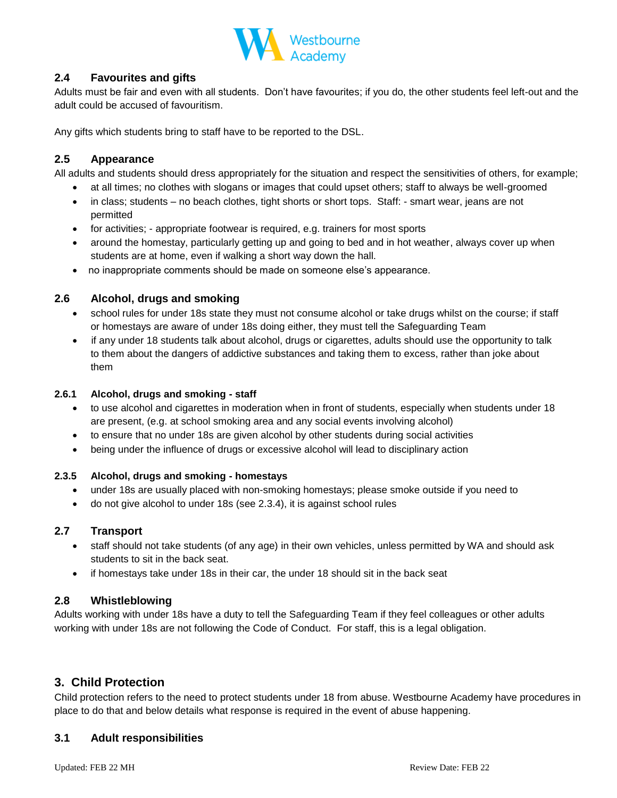

## **2.4 Favourites and gifts**

Adults must be fair and even with all students. Don't have favourites; if you do, the other students feel left-out and the adult could be accused of favouritism.

Any gifts which students bring to staff have to be reported to the DSL.

## **2.5 Appearance**

All adults and students should dress appropriately for the situation and respect the sensitivities of others, for example;

- at all times; no clothes with slogans or images that could upset others; staff to always be well-groomed
- in class; students no beach clothes, tight shorts or short tops. Staff: smart wear, jeans are not permitted
- for activities; appropriate footwear is required, e.g. trainers for most sports
- around the homestay, particularly getting up and going to bed and in hot weather, always cover up when students are at home, even if walking a short way down the hall.
- no inappropriate comments should be made on someone else's appearance.

## **2.6 Alcohol, drugs and smoking**

- school rules for under 18s state they must not consume alcohol or take drugs whilst on the course; if staff or homestays are aware of under 18s doing either, they must tell the Safeguarding Team
- if any under 18 students talk about alcohol, drugs or cigarettes, adults should use the opportunity to talk to them about the dangers of addictive substances and taking them to excess, rather than joke about them

#### **2.6.1 Alcohol, drugs and smoking - staff**

- to use alcohol and cigarettes in moderation when in front of students, especially when students under 18 are present, (e.g. at school smoking area and any social events involving alcohol)
- to ensure that no under 18s are given alcohol by other students during social activities
- being under the influence of drugs or excessive alcohol will lead to disciplinary action

#### **2.3.5 Alcohol, drugs and smoking - homestays**

- under 18s are usually placed with non-smoking homestays; please smoke outside if you need to
- do not give alcohol to under 18s (see 2.3.4), it is against school rules

## **2.7 Transport**

- staff should not take students (of any age) in their own vehicles, unless permitted by WA and should ask students to sit in the back seat.
- if homestays take under 18s in their car, the under 18 should sit in the back seat

## **2.8 Whistleblowing**

Adults working with under 18s have a duty to tell the Safeguarding Team if they feel colleagues or other adults working with under 18s are not following the Code of Conduct. For staff, this is a legal obligation.

## **3. Child Protection**

Child protection refers to the need to protect students under 18 from abuse. Westbourne Academy have procedures in place to do that and below details what response is required in the event of abuse happening.

## **3.1 Adult responsibilities**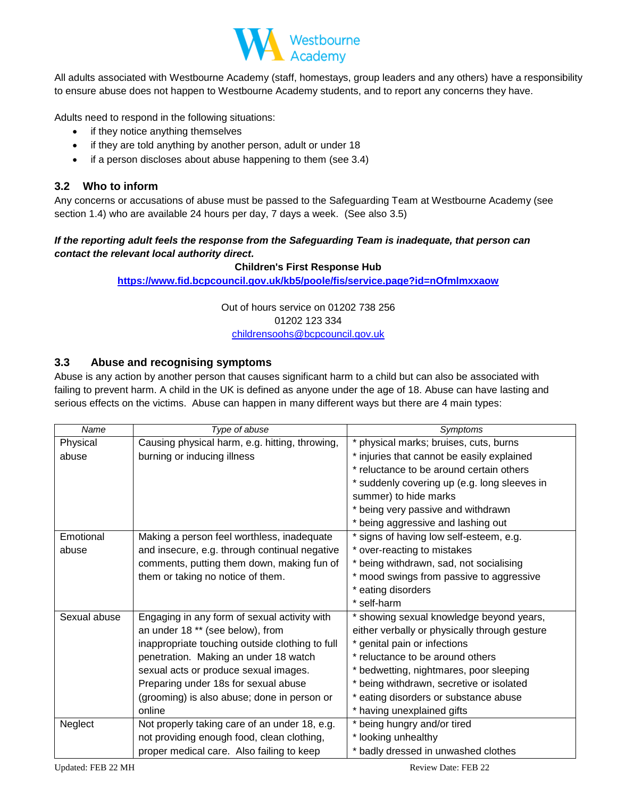

All adults associated with Westbourne Academy (staff, homestays, group leaders and any others) have a responsibility to ensure abuse does not happen to Westbourne Academy students, and to report any concerns they have.

Adults need to respond in the following situations:

- if they notice anything themselves
- if they are told anything by another person, adult or under 18
- if a person discloses about abuse happening to them (see 3.4)

# **3.2 Who to inform**

Any concerns or accusations of abuse must be passed to the Safeguarding Team at Westbourne Academy (see section 1.4) who are available 24 hours per day, 7 days a week. (See also 3.5)

## *If the reporting adult feels the response from the Safeguarding Team is inadequate, that person can contact the relevant local authority direct.*

## **Children's First Response Hub**

**<https://www.fid.bcpcouncil.gov.uk/kb5/poole/fis/service.page?id=nOfmlmxxaow>**

Out of hours service on 01202 738 256 01202 123 334 [childrensoohs@bcpcouncil.gov.uk](mailto:childrensoohs@bcpcouncil.gov.uk)

# **3.3 Abuse and recognising symptoms**

Abuse is any action by another person that causes significant harm to a child but can also be associated with failing to prevent harm. A child in the UK is defined as anyone under the age of 18. Abuse can have lasting and serious effects on the victims. Abuse can happen in many different ways but there are 4 main types:

| Name         | Type of abuse                                   | Symptoms                                      |  |
|--------------|-------------------------------------------------|-----------------------------------------------|--|
| Physical     | Causing physical harm, e.g. hitting, throwing,  | * physical marks; bruises, cuts, burns        |  |
| abuse        | burning or inducing illness                     | * injuries that cannot be easily explained    |  |
|              |                                                 | * reluctance to be around certain others      |  |
|              |                                                 | * suddenly covering up (e.g. long sleeves in  |  |
|              |                                                 | summer) to hide marks                         |  |
|              |                                                 | * being very passive and withdrawn            |  |
|              |                                                 | * being aggressive and lashing out            |  |
| Emotional    | Making a person feel worthless, inadequate      | * signs of having low self-esteem, e.g.       |  |
| abuse        | and insecure, e.g. through continual negative   | * over-reacting to mistakes                   |  |
|              | comments, putting them down, making fun of      | * being withdrawn, sad, not socialising       |  |
|              | them or taking no notice of them.               | * mood swings from passive to aggressive      |  |
|              |                                                 | * eating disorders                            |  |
|              |                                                 | * self-harm                                   |  |
| Sexual abuse | Engaging in any form of sexual activity with    | * showing sexual knowledge beyond years,      |  |
|              | an under 18 ** (see below), from                | either verbally or physically through gesture |  |
|              | inappropriate touching outside clothing to full | * genital pain or infections                  |  |
|              | penetration. Making an under 18 watch           | * reluctance to be around others              |  |
|              | sexual acts or produce sexual images.           | * bedwetting, nightmares, poor sleeping       |  |
|              | Preparing under 18s for sexual abuse            | * being withdrawn, secretive or isolated      |  |
|              | (grooming) is also abuse; done in person or     | * eating disorders or substance abuse         |  |
|              | online                                          | * having unexplained gifts                    |  |
| Neglect      | Not properly taking care of an under 18, e.g.   | * being hungry and/or tired                   |  |
|              | not providing enough food, clean clothing,      | * looking unhealthy                           |  |
|              | proper medical care. Also failing to keep       | * badly dressed in unwashed clothes           |  |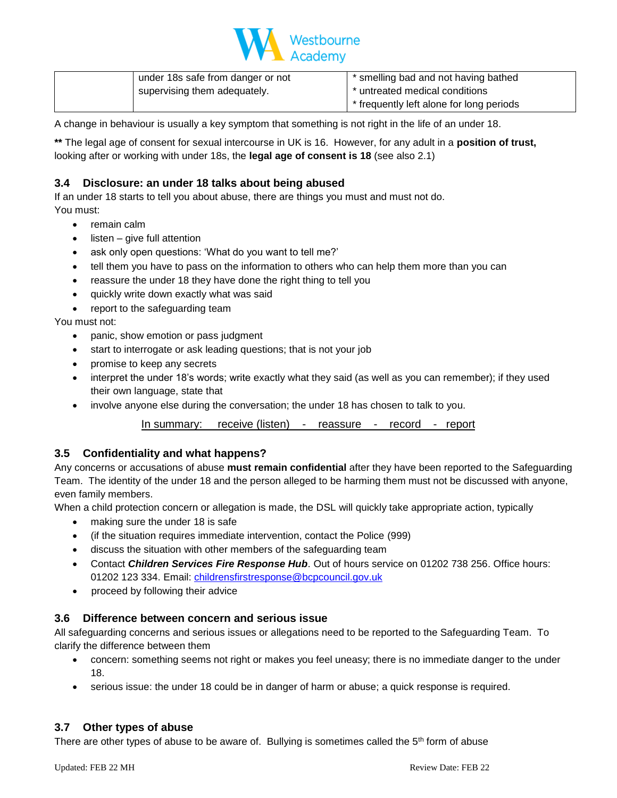

| under 18s safe from danger or not | * smelling bad and not having bathed     |
|-----------------------------------|------------------------------------------|
| supervising them adequately.      | * untreated medical conditions           |
|                                   | * frequently left alone for long periods |

A change in behaviour is usually a key symptom that something is not right in the life of an under 18.

**\*\*** The legal age of consent for sexual intercourse in UK is 16. However, for any adult in a **position of trust,**  looking after or working with under 18s, the **legal age of consent is 18** (see also 2.1)

## **3.4 Disclosure: an under 18 talks about being abused**

If an under 18 starts to tell you about abuse, there are things you must and must not do. You must:

- remain calm
- $listen give full attention$
- ask only open questions: 'What do you want to tell me?'
- tell them you have to pass on the information to others who can help them more than you can
- reassure the under 18 they have done the right thing to tell you
- quickly write down exactly what was said
- report to the safeguarding team

You must not:

- panic, show emotion or pass judgment
- start to interrogate or ask leading questions; that is not your job
- promise to keep any secrets
- interpret the under 18's words; write exactly what they said (as well as you can remember); if they used their own language, state that
- involve anyone else during the conversation; the under 18 has chosen to talk to you.

#### In summary: receive (listen) - reassure - record - report

#### **3.5 Confidentiality and what happens?**

Any concerns or accusations of abuse **must remain confidential** after they have been reported to the Safeguarding Team. The identity of the under 18 and the person alleged to be harming them must not be discussed with anyone, even family members.

When a child protection concern or allegation is made, the DSL will quickly take appropriate action, typically

- making sure the under 18 is safe
- (if the situation requires immediate intervention, contact the Police (999)
- discuss the situation with other members of the safeguarding team
- Contact *Children Services Fire Response Hub*. Out of hours service on 01202 738 256. Office hours: 01202 123 334. Email: [childrensfirstresponse@bcpcouncil.gov.uk](mailto:childrensfirstresponse@bcpcouncil.gov.uk)
- proceed by following their advice

## **3.6 Difference between concern and serious issue**

All safeguarding concerns and serious issues or allegations need to be reported to the Safeguarding Team. To clarify the difference between them

- concern: something seems not right or makes you feel uneasy; there is no immediate danger to the under 18.
- serious issue: the under 18 could be in danger of harm or abuse; a quick response is required.

## **3.7 Other types of abuse**

There are other types of abuse to be aware of. Bullying is sometimes called the  $5<sup>th</sup>$  form of abuse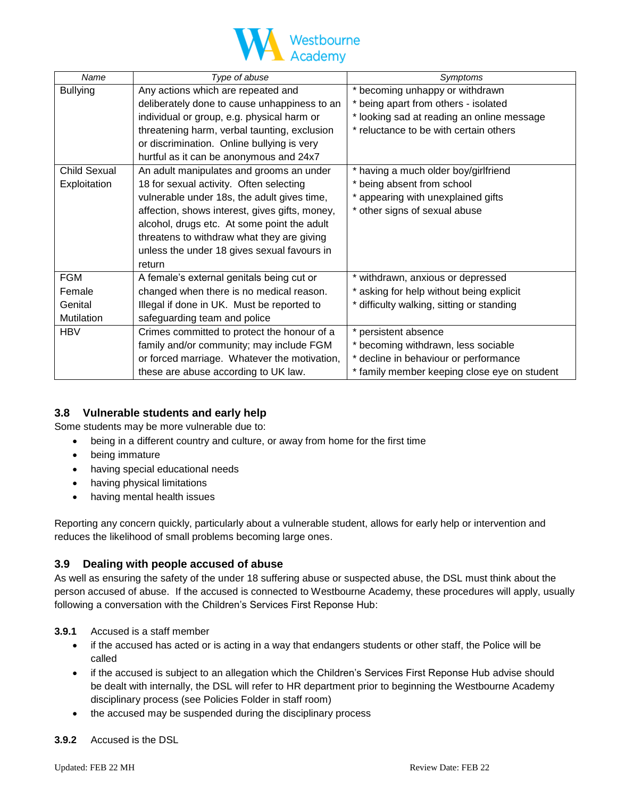

| Name                | Type of abuse                                  | Symptoms                                     |  |
|---------------------|------------------------------------------------|----------------------------------------------|--|
| <b>Bullying</b>     | Any actions which are repeated and             | * becoming unhappy or withdrawn              |  |
|                     | deliberately done to cause unhappiness to an   | * being apart from others - isolated         |  |
|                     | individual or group, e.g. physical harm or     | * looking sad at reading an online message   |  |
|                     | threatening harm, verbal taunting, exclusion   | * reluctance to be with certain others       |  |
|                     | or discrimination. Online bullying is very     |                                              |  |
|                     | hurtful as it can be anonymous and 24x7        |                                              |  |
| <b>Child Sexual</b> | An adult manipulates and grooms an under       | * having a much older boy/girlfriend         |  |
| Exploitation        | 18 for sexual activity. Often selecting        | * being absent from school                   |  |
|                     | vulnerable under 18s, the adult gives time,    | * appearing with unexplained gifts           |  |
|                     | affection, shows interest, gives gifts, money, | * other signs of sexual abuse                |  |
|                     | alcohol, drugs etc. At some point the adult    |                                              |  |
|                     | threatens to withdraw what they are giving     |                                              |  |
|                     | unless the under 18 gives sexual favours in    |                                              |  |
|                     | return                                         |                                              |  |
| <b>FGM</b>          | A female's external genitals being cut or      | * withdrawn, anxious or depressed            |  |
| Female              | changed when there is no medical reason.       | * asking for help without being explicit     |  |
| Genital             | Illegal if done in UK. Must be reported to     | * difficulty walking, sitting or standing    |  |
| <b>Mutilation</b>   | safeguarding team and police                   |                                              |  |
| <b>HBV</b>          | Crimes committed to protect the honour of a    | * persistent absence                         |  |
|                     | family and/or community; may include FGM       | * becoming withdrawn, less sociable          |  |
|                     | or forced marriage. Whatever the motivation,   | * decline in behaviour or performance        |  |
|                     | these are abuse according to UK law.           | * family member keeping close eye on student |  |

## **3.8 Vulnerable students and early help**

Some students may be more vulnerable due to:

- being in a different country and culture, or away from home for the first time
- being immature
- having special educational needs
- having physical limitations
- having mental health issues

Reporting any concern quickly, particularly about a vulnerable student, allows for early help or intervention and reduces the likelihood of small problems becoming large ones.

## **3.9 Dealing with people accused of abuse**

As well as ensuring the safety of the under 18 suffering abuse or suspected abuse, the DSL must think about the person accused of abuse. If the accused is connected to Westbourne Academy, these procedures will apply, usually following a conversation with the Children's Services First Reponse Hub:

## **3.9.1** Accused is a staff member

- if the accused has acted or is acting in a way that endangers students or other staff, the Police will be called
- if the accused is subject to an allegation which the Children's Services First Reponse Hub advise should be dealt with internally, the DSL will refer to HR department prior to beginning the Westbourne Academy disciplinary process (see Policies Folder in staff room)
- the accused may be suspended during the disciplinary process
- **3.9.2** Accused is the DSL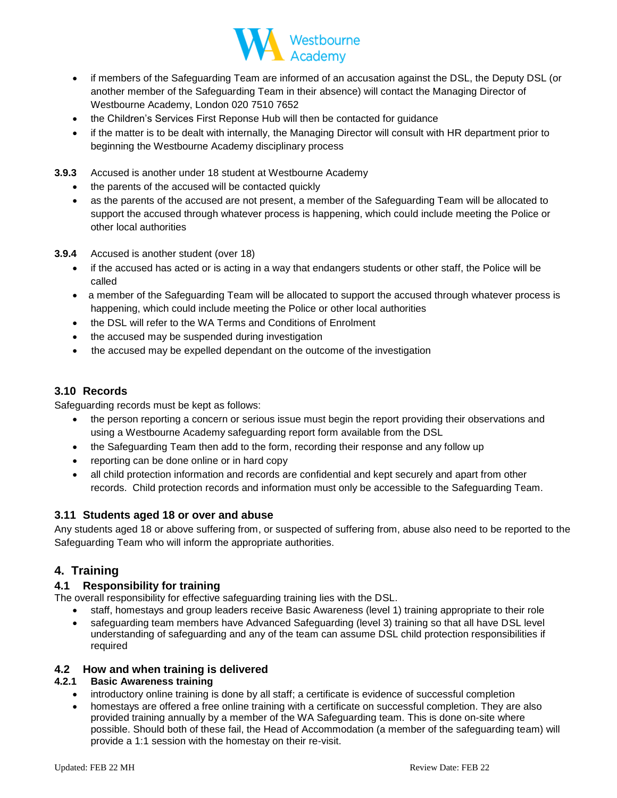

- if members of the Safeguarding Team are informed of an accusation against the DSL, the Deputy DSL (or another member of the Safeguarding Team in their absence) will contact the Managing Director of Westbourne Academy, London 020 7510 7652
- the Children's Services First Reponse Hub will then be contacted for guidance
- if the matter is to be dealt with internally, the Managing Director will consult with HR department prior to beginning the Westbourne Academy disciplinary process
- **3.9.3** Accused is another under 18 student at Westbourne Academy
	- the parents of the accused will be contacted quickly
	- as the parents of the accused are not present, a member of the Safeguarding Team will be allocated to support the accused through whatever process is happening, which could include meeting the Police or other local authorities
- **3.9.4** Accused is another student (over 18)
	- if the accused has acted or is acting in a way that endangers students or other staff, the Police will be called
	- a member of the Safeguarding Team will be allocated to support the accused through whatever process is happening, which could include meeting the Police or other local authorities
	- the DSL will refer to the WA Terms and Conditions of Enrolment
	- the accused may be suspended during investigation
	- the accused may be expelled dependant on the outcome of the investigation

## **3.10 Records**

Safeguarding records must be kept as follows:

- the person reporting a concern or serious issue must begin the report providing their observations and using a Westbourne Academy safeguarding report form available from the DSL
- the Safeguarding Team then add to the form, recording their response and any follow up
- reporting can be done online or in hard copy
- all child protection information and records are confidential and kept securely and apart from other records. Child protection records and information must only be accessible to the Safeguarding Team.

## **3.11 Students aged 18 or over and abuse**

Any students aged 18 or above suffering from, or suspected of suffering from, abuse also need to be reported to the Safeguarding Team who will inform the appropriate authorities.

## **4. Training**

## **4.1 Responsibility for training**

The overall responsibility for effective safeguarding training lies with the DSL.

- staff, homestays and group leaders receive Basic Awareness (level 1) training appropriate to their role
- safeguarding team members have Advanced Safeguarding (level 3) training so that all have DSL level understanding of safeguarding and any of the team can assume DSL child protection responsibilities if required

## **4.2 How and when training is delivered**

## **4.2.1 Basic Awareness training**

- introductory online training is done by all staff; a certificate is evidence of successful completion
- homestays are offered a free online training with a certificate on successful completion. They are also provided training annually by a member of the WA Safeguarding team. This is done on-site where possible. Should both of these fail, the Head of Accommodation (a member of the safeguarding team) will provide a 1:1 session with the homestay on their re-visit.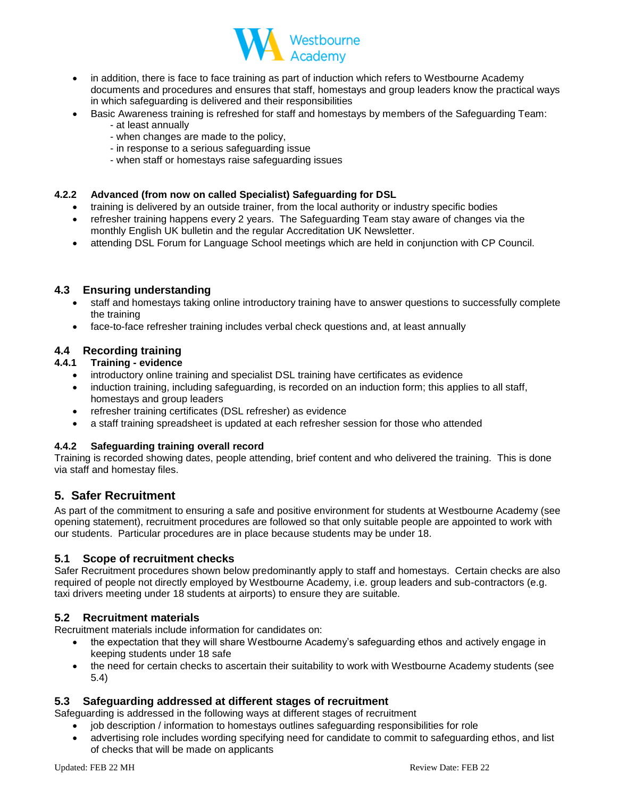

- in addition, there is face to face training as part of induction which refers to Westbourne Academy documents and procedures and ensures that staff, homestays and group leaders know the practical ways in which safeguarding is delivered and their responsibilities
- Basic Awareness training is refreshed for staff and homestays by members of the Safeguarding Team:
	- at least annually
	- when changes are made to the policy,
	- in response to a serious safeguarding issue
	- when staff or homestays raise safeguarding issues

#### **4.2.2 Advanced (from now on called Specialist) Safeguarding for DSL**

- training is delivered by an outside trainer, from the local authority or industry specific bodies
- refresher training happens every 2 years. The Safeguarding Team stay aware of changes via the monthly English UK bulletin and the regular Accreditation UK Newsletter.
- attending DSL Forum for Language School meetings which are held in conjunction with CP Council.

## **4.3 Ensuring understanding**

- staff and homestays taking online introductory training have to answer questions to successfully complete the training
- face-to-face refresher training includes verbal check questions and, at least annually

## **4.4 Recording training**

#### **4.4.1 Training - evidence**

- introductory online training and specialist DSL training have certificates as evidence
- induction training, including safeguarding, is recorded on an induction form; this applies to all staff, homestays and group leaders
- refresher training certificates (DSL refresher) as evidence
- a staff training spreadsheet is updated at each refresher session for those who attended

#### **4.4.2 Safeguarding training overall record**

Training is recorded showing dates, people attending, brief content and who delivered the training. This is done via staff and homestay files.

## **5. Safer Recruitment**

As part of the commitment to ensuring a safe and positive environment for students at Westbourne Academy (see opening statement), recruitment procedures are followed so that only suitable people are appointed to work with our students. Particular procedures are in place because students may be under 18.

## **5.1 Scope of recruitment checks**

Safer Recruitment procedures shown below predominantly apply to staff and homestays. Certain checks are also required of people not directly employed by Westbourne Academy, i.e. group leaders and sub-contractors (e.g. taxi drivers meeting under 18 students at airports) to ensure they are suitable.

## **5.2 Recruitment materials**

Recruitment materials include information for candidates on:

- the expectation that they will share Westbourne Academy's safeguarding ethos and actively engage in keeping students under 18 safe
- the need for certain checks to ascertain their suitability to work with Westbourne Academy students (see 5.4)

## **5.3 Safeguarding addressed at different stages of recruitment**

Safeguarding is addressed in the following ways at different stages of recruitment

- job description / information to homestays outlines safeguarding responsibilities for role
- advertising role includes wording specifying need for candidate to commit to safeguarding ethos, and list of checks that will be made on applicants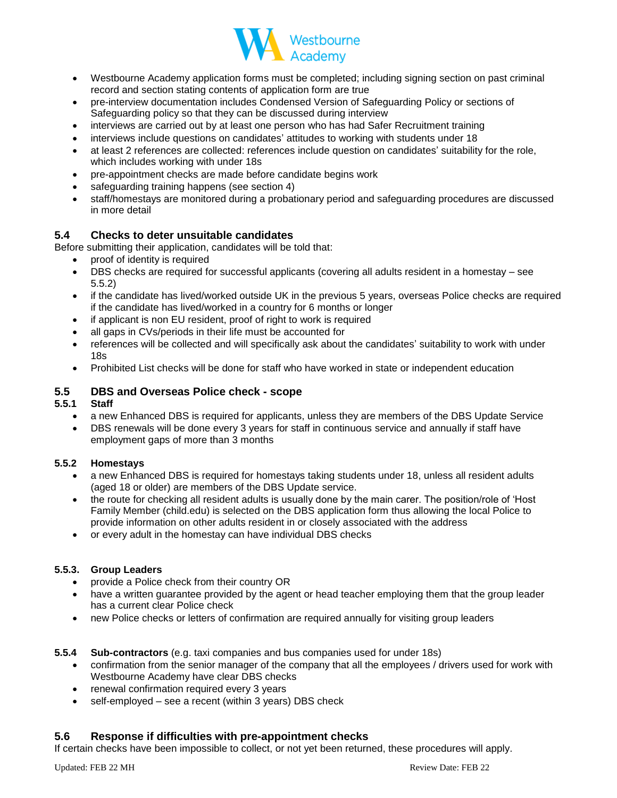

- Westbourne Academy application forms must be completed; including signing section on past criminal record and section stating contents of application form are true
- pre-interview documentation includes Condensed Version of Safeguarding Policy or sections of Safeguarding policy so that they can be discussed during interview
- interviews are carried out by at least one person who has had Safer Recruitment training
- interviews include questions on candidates' attitudes to working with students under 18
- at least 2 references are collected: references include question on candidates' suitability for the role, which includes working with under 18s
- pre-appointment checks are made before candidate begins work
- safeguarding training happens (see section 4)
- staff/homestays are monitored during a probationary period and safeguarding procedures are discussed in more detail

## **5.4 Checks to deter unsuitable candidates**

Before submitting their application, candidates will be told that:

- proof of identity is required
- DBS checks are required for successful applicants (covering all adults resident in a homestay see 5.5.2)
- if the candidate has lived/worked outside UK in the previous 5 years, overseas Police checks are required if the candidate has lived/worked in a country for 6 months or longer
- if applicant is non EU resident, proof of right to work is required
- all gaps in CVs/periods in their life must be accounted for
- references will be collected and will specifically ask about the candidates' suitability to work with under 18s
- Prohibited List checks will be done for staff who have worked in state or independent education

#### **5.5 DBS and Overseas Police check - scope**

#### **5.5.1 Staff**

- a new Enhanced DBS is required for applicants, unless they are members of the DBS Update Service
- DBS renewals will be done every 3 years for staff in continuous service and annually if staff have employment gaps of more than 3 months

#### **5.5.2 Homestays**

- a new Enhanced DBS is required for homestays taking students under 18, unless all resident adults (aged 18 or older) are members of the DBS Update service.
- the route for checking all resident adults is usually done by the main carer. The position/role of 'Host Family Member (child.edu) is selected on the DBS application form thus allowing the local Police to provide information on other adults resident in or closely associated with the address
- or every adult in the homestay can have individual DBS checks

#### **5.5.3. Group Leaders**

- provide a Police check from their country OR
- have a written guarantee provided by the agent or head teacher employing them that the group leader has a current clear Police check
- new Police checks or letters of confirmation are required annually for visiting group leaders
- **5.5.4 Sub-contractors** (e.g. taxi companies and bus companies used for under 18s)
	- confirmation from the senior manager of the company that all the employees / drivers used for work with Westbourne Academy have clear DBS checks
	- renewal confirmation required every 3 years
	- self-employed see a recent (within 3 years) DBS check

## **5.6 Response if difficulties with pre-appointment checks**

If certain checks have been impossible to collect, or not yet been returned, these procedures will apply.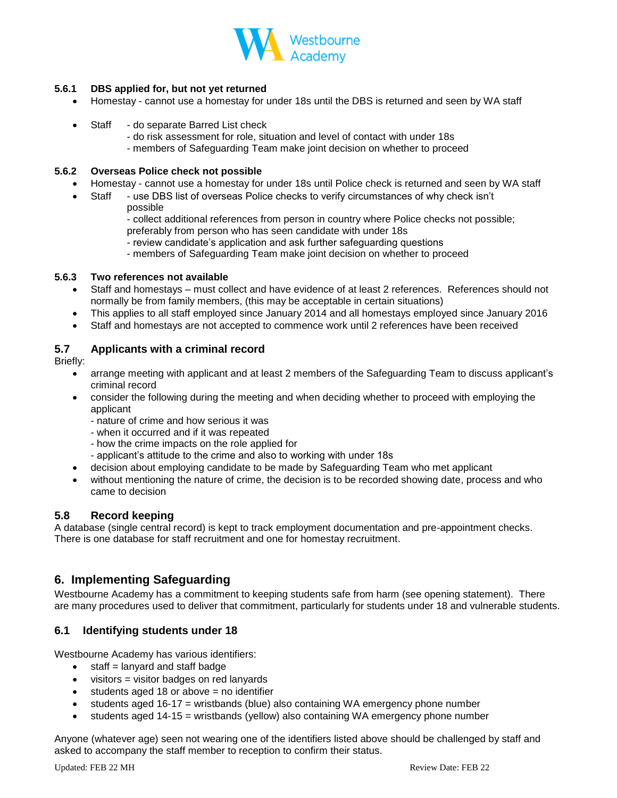

## **5.6.1 DBS applied for, but not yet returned**

- Homestay cannot use a homestay for under 18s until the DBS is returned and seen by WA staff
- Staff do separate Barred List check
	- do risk assessment for role, situation and level of contact with under 18s - members of Safeguarding Team make joint decision on whether to proceed

#### **5.6.2 Overseas Police check not possible**

- Homestay cannot use a homestay for under 18s until Police check is returned and seen by WA staff
	- Staff use DBS list of overseas Police checks to verify circumstances of why check isn't possible
		- collect additional references from person in country where Police checks not possible; preferably from person who has seen candidate with under 18s
		- review candidate's application and ask further safeguarding questions
		- members of Safeguarding Team make joint decision on whether to proceed

#### **5.6.3 Two references not available**

- Staff and homestays must collect and have evidence of at least 2 references. References should not normally be from family members, (this may be acceptable in certain situations)
- This applies to all staff employed since January 2014 and all homestays employed since January 2016
- Staff and homestays are not accepted to commence work until 2 references have been received

## **5.7 Applicants with a criminal record**

Briefly:

- arrange meeting with applicant and at least 2 members of the Safeguarding Team to discuss applicant's criminal record
- consider the following during the meeting and when deciding whether to proceed with employing the applicant
	- nature of crime and how serious it was
	- when it occurred and if it was repeated
	- how the crime impacts on the role applied for
	- applicant's attitude to the crime and also to working with under 18s
- decision about employing candidate to be made by Safeguarding Team who met applicant
- without mentioning the nature of crime, the decision is to be recorded showing date, process and who came to decision

## **5.8 Record keeping**

A database (single central record) is kept to track employment documentation and pre-appointment checks. There is one database for staff recruitment and one for homestay recruitment.

## **6. Implementing Safeguarding**

Westbourne Academy has a commitment to keeping students safe from harm (see opening statement). There are many procedures used to deliver that commitment, particularly for students under 18 and vulnerable students.

## **6.1 Identifying students under 18**

Westbourne Academy has various identifiers:

- $\bullet$  staff = lanyard and staff badge
- visitors = visitor badges on red lanyards
- $\bullet$  students aged 18 or above = no identifier
- students aged 16-17 = wristbands (blue) also containing WA emergency phone number
- students aged 14-15 = wristbands (yellow) also containing WA emergency phone number

Anyone (whatever age) seen not wearing one of the identifiers listed above should be challenged by staff and asked to accompany the staff member to reception to confirm their status.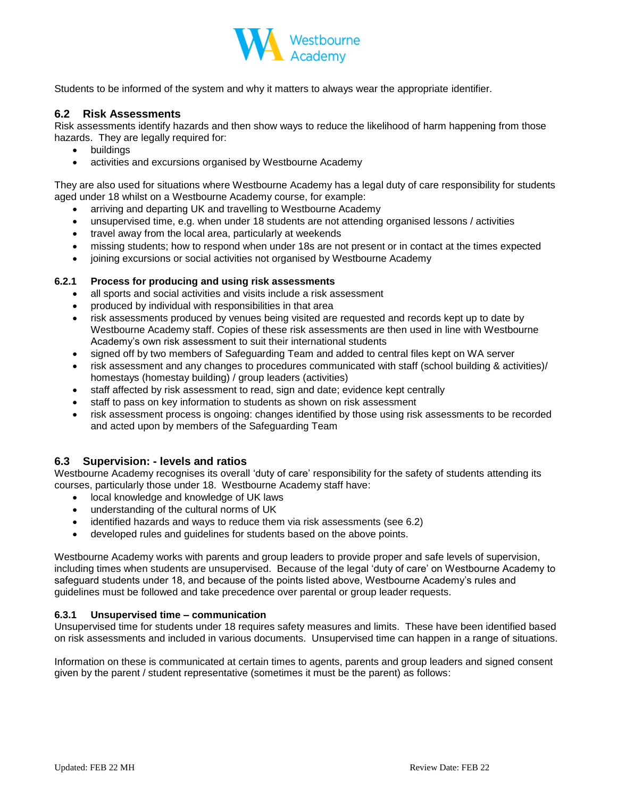

Students to be informed of the system and why it matters to always wear the appropriate identifier.

## **6.2 Risk Assessments**

Risk assessments identify hazards and then show ways to reduce the likelihood of harm happening from those hazards. They are legally required for:

- buildings
- activities and excursions organised by Westbourne Academy

They are also used for situations where Westbourne Academy has a legal duty of care responsibility for students aged under 18 whilst on a Westbourne Academy course, for example:

- arriving and departing UK and travelling to Westbourne Academy
- unsupervised time, e.g. when under 18 students are not attending organised lessons / activities
- travel away from the local area, particularly at weekends
- missing students; how to respond when under 18s are not present or in contact at the times expected
- joining excursions or social activities not organised by Westbourne Academy

#### **6.2.1 Process for producing and using risk assessments**

- all sports and social activities and visits include a risk assessment
- produced by individual with responsibilities in that area
- risk assessments produced by venues being visited are requested and records kept up to date by Westbourne Academy staff. Copies of these risk assessments are then used in line with Westbourne Academy's own risk assessment to suit their international students
- signed off by two members of Safeguarding Team and added to central files kept on WA server
- risk assessment and any changes to procedures communicated with staff (school building & activities)/ homestays (homestay building) / group leaders (activities)
- staff affected by risk assessment to read, sign and date; evidence kept centrally
- staff to pass on key information to students as shown on risk assessment
- risk assessment process is ongoing: changes identified by those using risk assessments to be recorded and acted upon by members of the Safeguarding Team

## **6.3 Supervision: - levels and ratios**

Westbourne Academy recognises its overall 'duty of care' responsibility for the safety of students attending its courses, particularly those under 18. Westbourne Academy staff have:

- local knowledge and knowledge of UK laws
- understanding of the cultural norms of UK
- identified hazards and ways to reduce them via risk assessments (see 6.2)
- developed rules and guidelines for students based on the above points.

Westbourne Academy works with parents and group leaders to provide proper and safe levels of supervision, including times when students are unsupervised. Because of the legal 'duty of care' on Westbourne Academy to safeguard students under 18, and because of the points listed above, Westbourne Academy's rules and guidelines must be followed and take precedence over parental or group leader requests.

#### **6.3.1 Unsupervised time – communication**

Unsupervised time for students under 18 requires safety measures and limits. These have been identified based on risk assessments and included in various documents. Unsupervised time can happen in a range of situations.

Information on these is communicated at certain times to agents, parents and group leaders and signed consent given by the parent / student representative (sometimes it must be the parent) as follows: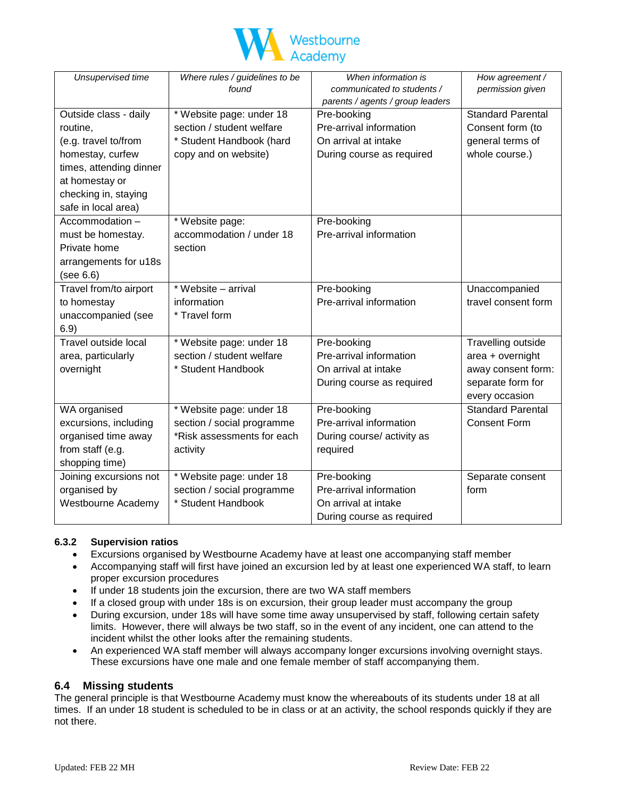

| Unsupervised time       | Where rules / guidelines to be | When information is              | How agreement /          |
|-------------------------|--------------------------------|----------------------------------|--------------------------|
|                         | found                          | communicated to students /       | permission given         |
|                         |                                | parents / agents / group leaders |                          |
| Outside class - daily   | * Website page: under 18       | Pre-booking                      | <b>Standard Parental</b> |
| routine,                | section / student welfare      | Pre-arrival information          | Consent form (to         |
| (e.g. travel to/from    | * Student Handbook (hard       | On arrival at intake             | general terms of         |
| homestay, curfew        | copy and on website)           | During course as required        | whole course.)           |
| times, attending dinner |                                |                                  |                          |
| at homestay or          |                                |                                  |                          |
| checking in, staying    |                                |                                  |                          |
| safe in local area)     |                                |                                  |                          |
| Accommodation -         | * Website page:                | Pre-booking                      |                          |
| must be homestay.       | accommodation / under 18       | Pre-arrival information          |                          |
| Private home            | section                        |                                  |                          |
| arrangements for u18s   |                                |                                  |                          |
| (see 6.6)               |                                |                                  |                          |
| Travel from/to airport  | * Website - arrival            | Pre-booking                      | Unaccompanied            |
| to homestay             | information                    | Pre-arrival information          | travel consent form      |
| unaccompanied (see      | * Travel form                  |                                  |                          |
| 6.9)                    |                                |                                  |                          |
| Travel outside local    | * Website page: under 18       | Pre-booking                      | Travelling outside       |
| area, particularly      | section / student welfare      | Pre-arrival information          | area + overnight         |
| overnight               | * Student Handbook             | On arrival at intake             | away consent form:       |
|                         |                                | During course as required        | separate form for        |
|                         |                                |                                  | every occasion           |
| WA organised            | * Website page: under 18       | Pre-booking                      | <b>Standard Parental</b> |
| excursions, including   | section / social programme     | Pre-arrival information          | <b>Consent Form</b>      |
| organised time away     | *Risk assessments for each     | During course/ activity as       |                          |
| from staff (e.g.        | activity                       | required                         |                          |
| shopping time)          |                                |                                  |                          |
| Joining excursions not  | * Website page: under 18       | Pre-booking                      | Separate consent         |
| organised by            | section / social programme     | Pre-arrival information          | form                     |
| Westbourne Academy      | * Student Handbook             | On arrival at intake             |                          |
|                         |                                | During course as required        |                          |

## **6.3.2 Supervision ratios**

- Excursions organised by Westbourne Academy have at least one accompanying staff member
- Accompanying staff will first have joined an excursion led by at least one experienced WA staff, to learn proper excursion procedures
- If under 18 students join the excursion, there are two WA staff members
- If a closed group with under 18s is on excursion, their group leader must accompany the group
- During excursion, under 18s will have some time away unsupervised by staff, following certain safety limits. However, there will always be two staff, so in the event of any incident, one can attend to the incident whilst the other looks after the remaining students.
- An experienced WA staff member will always accompany longer excursions involving overnight stays. These excursions have one male and one female member of staff accompanying them.

## **6.4 Missing students**

The general principle is that Westbourne Academy must know the whereabouts of its students under 18 at all times. If an under 18 student is scheduled to be in class or at an activity, the school responds quickly if they are not there.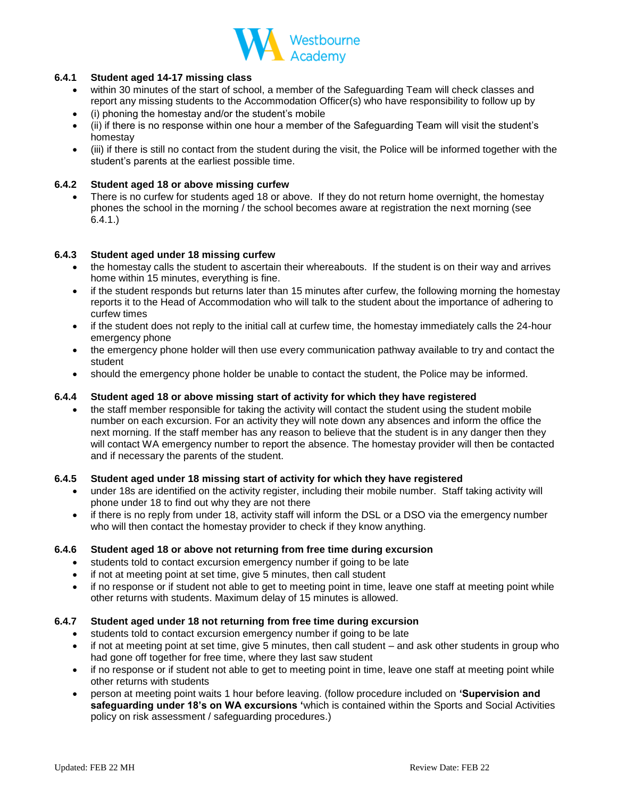

#### **6.4.1 Student aged 14-17 missing class**

- within 30 minutes of the start of school, a member of the Safeguarding Team will check classes and report any missing students to the Accommodation Officer(s) who have responsibility to follow up by
- (i) phoning the homestay and/or the student's mobile
- (ii) if there is no response within one hour a member of the Safeguarding Team will visit the student's homestay
- (iii) if there is still no contact from the student during the visit, the Police will be informed together with the student's parents at the earliest possible time.

#### **6.4.2 Student aged 18 or above missing curfew**

There is no curfew for students aged 18 or above. If they do not return home overnight, the homestay phones the school in the morning / the school becomes aware at registration the next morning (see 6.4.1.)

#### **6.4.3 Student aged under 18 missing curfew**

- the homestay calls the student to ascertain their whereabouts. If the student is on their way and arrives home within 15 minutes, everything is fine.
- if the student responds but returns later than 15 minutes after curfew, the following morning the homestay reports it to the Head of Accommodation who will talk to the student about the importance of adhering to curfew times
- if the student does not reply to the initial call at curfew time, the homestay immediately calls the 24-hour emergency phone
- the emergency phone holder will then use every communication pathway available to try and contact the student
- should the emergency phone holder be unable to contact the student, the Police may be informed.

#### **6.4.4 Student aged 18 or above missing start of activity for which they have registered**

• the staff member responsible for taking the activity will contact the student using the student mobile number on each excursion. For an activity they will note down any absences and inform the office the next morning. If the staff member has any reason to believe that the student is in any danger then they will contact WA emergency number to report the absence. The homestay provider will then be contacted and if necessary the parents of the student.

#### **6.4.5 Student aged under 18 missing start of activity for which they have registered**

- under 18s are identified on the activity register, including their mobile number. Staff taking activity will phone under 18 to find out why they are not there
- if there is no reply from under 18, activity staff will inform the DSL or a DSO via the emergency number who will then contact the homestay provider to check if they know anything.

#### **6.4.6 Student aged 18 or above not returning from free time during excursion**

- students told to contact excursion emergency number if going to be late
- if not at meeting point at set time, give 5 minutes, then call student
- if no response or if student not able to get to meeting point in time, leave one staff at meeting point while other returns with students. Maximum delay of 15 minutes is allowed.

#### **6.4.7 Student aged under 18 not returning from free time during excursion**

- students told to contact excursion emergency number if going to be late
- if not at meeting point at set time, give 5 minutes, then call student and ask other students in group who had gone off together for free time, where they last saw student
- if no response or if student not able to get to meeting point in time, leave one staff at meeting point while other returns with students
- person at meeting point waits 1 hour before leaving. (follow procedure included on **'Supervision and safeguarding under 18's on WA excursions '**which is contained within the Sports and Social Activities policy on risk assessment / safeguarding procedures.)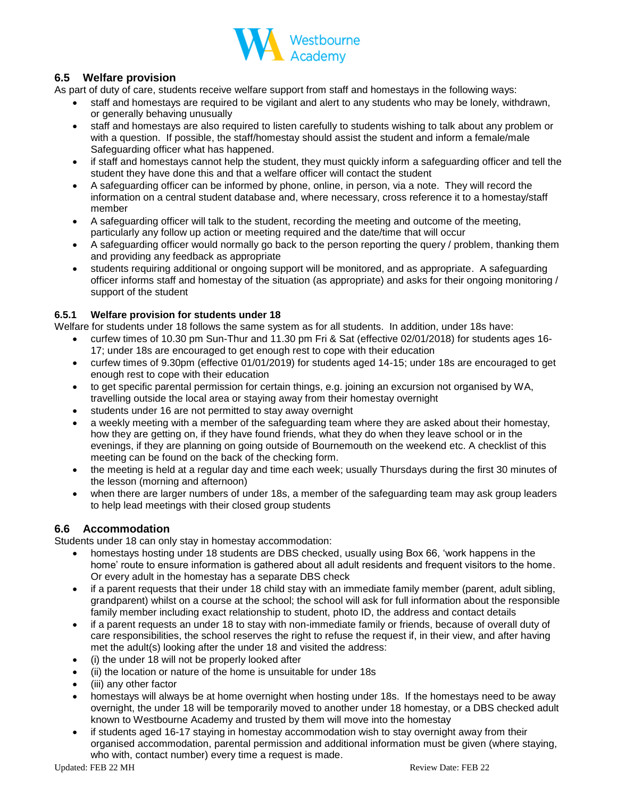

# **6.5 Welfare provision**

As part of duty of care, students receive welfare support from staff and homestays in the following ways:

- staff and homestays are required to be vigilant and alert to any students who may be lonely, withdrawn, or generally behaving unusually
- staff and homestays are also required to listen carefully to students wishing to talk about any problem or with a question. If possible, the staff/homestay should assist the student and inform a female/male Safeguarding officer what has happened.
- if staff and homestays cannot help the student, they must quickly inform a safeguarding officer and tell the student they have done this and that a welfare officer will contact the student
- A safeguarding officer can be informed by phone, online, in person, via a note. They will record the information on a central student database and, where necessary, cross reference it to a homestay/staff member
- A safeguarding officer will talk to the student, recording the meeting and outcome of the meeting, particularly any follow up action or meeting required and the date/time that will occur
- A safeguarding officer would normally go back to the person reporting the query / problem, thanking them and providing any feedback as appropriate
- students requiring additional or ongoing support will be monitored, and as appropriate. A safeguarding officer informs staff and homestay of the situation (as appropriate) and asks for their ongoing monitoring / support of the student

#### **6.5.1 Welfare provision for students under 18**

Welfare for students under 18 follows the same system as for all students. In addition, under 18s have:

- curfew times of 10.30 pm Sun-Thur and 11.30 pm Fri & Sat (effective 02/01/2018) for students ages 16- 17; under 18s are encouraged to get enough rest to cope with their education
- curfew times of 9.30pm (effective 01/01/2019) for students aged 14-15; under 18s are encouraged to get enough rest to cope with their education
- to get specific parental permission for certain things, e.g. joining an excursion not organised by WA, travelling outside the local area or staying away from their homestay overnight
- students under 16 are not permitted to stay away overnight
- a weekly meeting with a member of the safeguarding team where they are asked about their homestay, how they are getting on, if they have found friends, what they do when they leave school or in the evenings, if they are planning on going outside of Bournemouth on the weekend etc. A checklist of this meeting can be found on the back of the checking form.
- the meeting is held at a regular day and time each week; usually Thursdays during the first 30 minutes of the lesson (morning and afternoon)
- when there are larger numbers of under 18s, a member of the safeguarding team may ask group leaders to help lead meetings with their closed group students

## **6.6 Accommodation**

Students under 18 can only stay in homestay accommodation:

- homestays hosting under 18 students are DBS checked, usually using Box 66, 'work happens in the home' route to ensure information is gathered about all adult residents and frequent visitors to the home. Or every adult in the homestay has a separate DBS check
- if a parent requests that their under 18 child stay with an immediate family member (parent, adult sibling, grandparent) whilst on a course at the school; the school will ask for full information about the responsible family member including exact relationship to student, photo ID, the address and contact details
- if a parent requests an under 18 to stay with non-immediate family or friends, because of overall duty of care responsibilities, the school reserves the right to refuse the request if, in their view, and after having met the adult(s) looking after the under 18 and visited the address:
- (i) the under 18 will not be properly looked after
- (ii) the location or nature of the home is unsuitable for under 18s
- (iii) any other factor
- homestays will always be at home overnight when hosting under 18s. If the homestays need to be away overnight, the under 18 will be temporarily moved to another under 18 homestay, or a DBS checked adult known to Westbourne Academy and trusted by them will move into the homestay
- if students aged 16-17 staying in homestay accommodation wish to stay overnight away from their organised accommodation, parental permission and additional information must be given (where staying, who with, contact number) every time a request is made.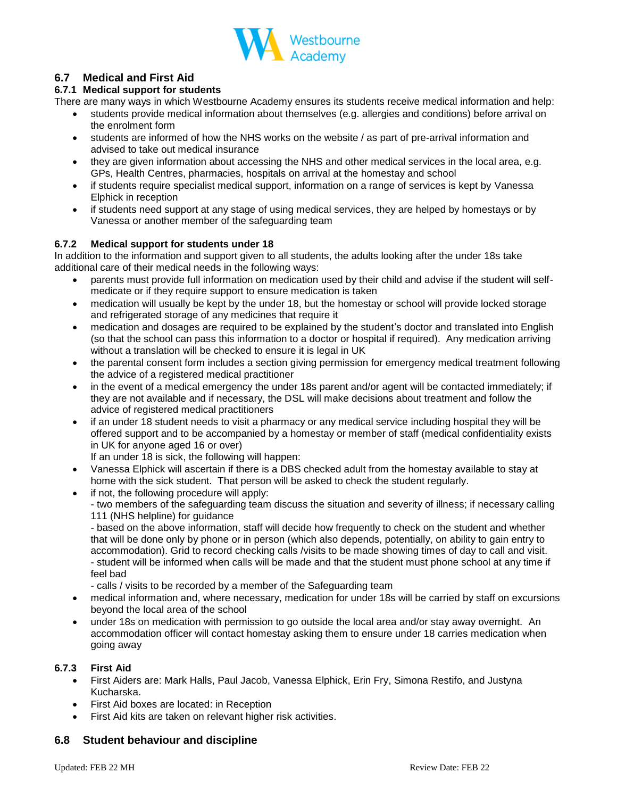

## **6.7 Medical and First Aid**

### **6.7.1 Medical support for students**

There are many ways in which Westbourne Academy ensures its students receive medical information and help:

- students provide medical information about themselves (e.g. allergies and conditions) before arrival on the enrolment form
- students are informed of how the NHS works on the website / as part of pre-arrival information and advised to take out medical insurance
- they are given information about accessing the NHS and other medical services in the local area, e.g. GPs, Health Centres, pharmacies, hospitals on arrival at the homestay and school
- if students require specialist medical support, information on a range of services is kept by Vanessa Elphick in reception
- if students need support at any stage of using medical services, they are helped by homestays or by Vanessa or another member of the safeguarding team

#### **6.7.2 Medical support for students under 18**

In addition to the information and support given to all students, the adults looking after the under 18s take additional care of their medical needs in the following ways:

- parents must provide full information on medication used by their child and advise if the student will selfmedicate or if they require support to ensure medication is taken
- medication will usually be kept by the under 18, but the homestay or school will provide locked storage and refrigerated storage of any medicines that require it
- medication and dosages are required to be explained by the student's doctor and translated into English (so that the school can pass this information to a doctor or hospital if required). Any medication arriving without a translation will be checked to ensure it is legal in UK
- the parental consent form includes a section giving permission for emergency medical treatment following the advice of a registered medical practitioner
- in the event of a medical emergency the under 18s parent and/or agent will be contacted immediately; if they are not available and if necessary, the DSL will make decisions about treatment and follow the advice of registered medical practitioners
- if an under 18 student needs to visit a pharmacy or any medical service including hospital they will be offered support and to be accompanied by a homestay or member of staff (medical confidentiality exists in UK for anyone aged 16 or over)

If an under 18 is sick, the following will happen:

- Vanessa Elphick will ascertain if there is a DBS checked adult from the homestay available to stay at home with the sick student. That person will be asked to check the student regularly.
- if not, the following procedure will apply:
	- two members of the safeguarding team discuss the situation and severity of illness; if necessary calling 111 (NHS helpline) for guidance

- based on the above information, staff will decide how frequently to check on the student and whether that will be done only by phone or in person (which also depends, potentially, on ability to gain entry to accommodation). Grid to record checking calls /visits to be made showing times of day to call and visit. - student will be informed when calls will be made and that the student must phone school at any time if feel bad

- calls / visits to be recorded by a member of the Safeguarding team
- medical information and, where necessary, medication for under 18s will be carried by staff on excursions beyond the local area of the school
- under 18s on medication with permission to go outside the local area and/or stay away overnight. An accommodation officer will contact homestay asking them to ensure under 18 carries medication when going away

#### **6.7.3 First Aid**

- First Aiders are: Mark Halls, Paul Jacob, Vanessa Elphick, Erin Fry, Simona Restifo, and Justyna Kucharska.
- First Aid boxes are located: in Reception
- First Aid kits are taken on relevant higher risk activities.

## **6.8 Student behaviour and discipline**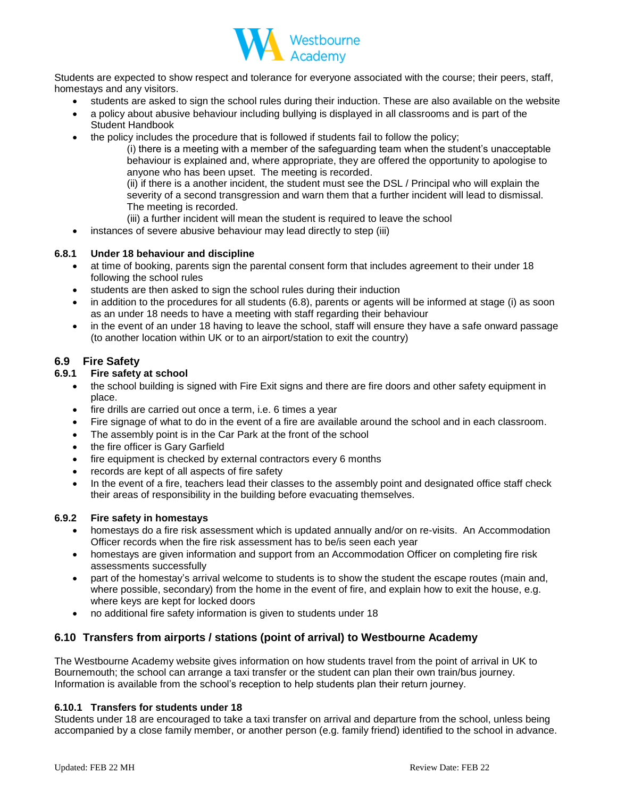

Students are expected to show respect and tolerance for everyone associated with the course; their peers, staff, homestays and any visitors.

- students are asked to sign the school rules during their induction. These are also available on the website
- a policy about abusive behaviour including bullying is displayed in all classrooms and is part of the Student Handbook
- the policy includes the procedure that is followed if students fail to follow the policy;

(i) there is a meeting with a member of the safeguarding team when the student's unacceptable behaviour is explained and, where appropriate, they are offered the opportunity to apologise to anyone who has been upset. The meeting is recorded.

(ii) if there is a another incident, the student must see the DSL / Principal who will explain the severity of a second transgression and warn them that a further incident will lead to dismissal. The meeting is recorded.

- (iii) a further incident will mean the student is required to leave the school
- instances of severe abusive behaviour may lead directly to step (iii)

#### **6.8.1 Under 18 behaviour and discipline**

- at time of booking, parents sign the parental consent form that includes agreement to their under 18 following the school rules
- students are then asked to sign the school rules during their induction
- in addition to the procedures for all students (6.8), parents or agents will be informed at stage (i) as soon as an under 18 needs to have a meeting with staff regarding their behaviour
- in the event of an under 18 having to leave the school, staff will ensure they have a safe onward passage (to another location within UK or to an airport/station to exit the country)

## **6.9 Fire Safety**

#### **6.9.1 Fire safety at school**

- the school building is signed with Fire Exit signs and there are fire doors and other safety equipment in place.
- fire drills are carried out once a term, i.e. 6 times a year
- Fire signage of what to do in the event of a fire are available around the school and in each classroom.
- The assembly point is in the Car Park at the front of the school
- the fire officer is Gary Garfield
- fire equipment is checked by external contractors every 6 months
- records are kept of all aspects of fire safety
- In the event of a fire, teachers lead their classes to the assembly point and designated office staff check their areas of responsibility in the building before evacuating themselves.

#### **6.9.2 Fire safety in homestays**

- homestays do a fire risk assessment which is updated annually and/or on re-visits. An Accommodation Officer records when the fire risk assessment has to be/is seen each year
- homestays are given information and support from an Accommodation Officer on completing fire risk assessments successfully
- part of the homestay's arrival welcome to students is to show the student the escape routes (main and, where possible, secondary) from the home in the event of fire, and explain how to exit the house, e.g. where keys are kept for locked doors
- no additional fire safety information is given to students under 18

## **6.10 Transfers from airports / stations (point of arrival) to Westbourne Academy**

The Westbourne Academy website gives information on how students travel from the point of arrival in UK to Bournemouth; the school can arrange a taxi transfer or the student can plan their own train/bus journey. Information is available from the school's reception to help students plan their return journey.

#### **6.10.1 Transfers for students under 18**

Students under 18 are encouraged to take a taxi transfer on arrival and departure from the school, unless being accompanied by a close family member, or another person (e.g. family friend) identified to the school in advance.